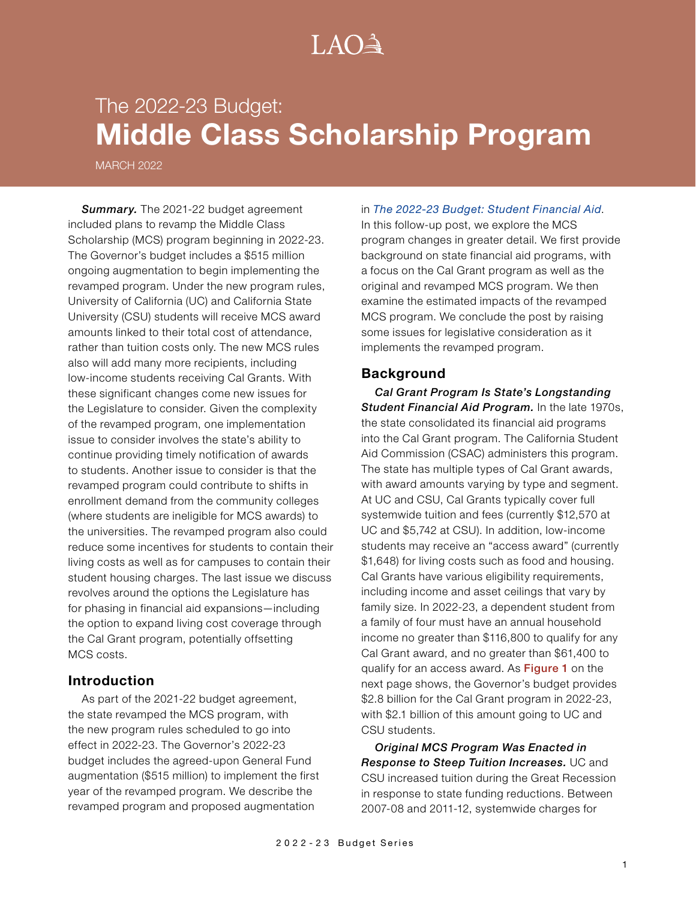# $A() \triangleq$

# The 2022-23 Budget: **Middle Class Scholarship Program**

MARCH 2022

**Summary.** The 2021-22 budget agreement included plans to revamp the Middle Class Scholarship (MCS) program beginning in 2022-23. The Governor's budget includes a \$515 million ongoing augmentation to begin implementing the revamped program. Under the new program rules, University of California (UC) and California State University (CSU) students will receive MCS award amounts linked to their total cost of attendance, rather than tuition costs only. The new MCS rules also will add many more recipients, including low-income students receiving Cal Grants. With these significant changes come new issues for the Legislature to consider. Given the complexity of the revamped program, one implementation issue to consider involves the state's ability to continue providing timely notification of awards to students. Another issue to consider is that the revamped program could contribute to shifts in enrollment demand from the community colleges (where students are ineligible for MCS awards) to the universities. The revamped program also could reduce some incentives for students to contain their living costs as well as for campuses to contain their student housing charges. The last issue we discuss revolves around the options the Legislature has for phasing in financial aid expansions—including the option to expand living cost coverage through the Cal Grant program, potentially offsetting MCS costs.

#### **Introduction**

As part of the 2021-22 budget agreement, the state revamped the MCS program, with the new program rules scheduled to go into effect in 2022-23. The Governor's 2022-23 budget includes the agreed-upon General Fund augmentation (\$515 million) to implement the first year of the revamped program. We describe the revamped program and proposed augmentation

#### in *The [2022-23 Budget: Student Financial](https://lao.ca.gov/Publications/Report/4548) Aid*.

In this follow-up post, we explore the MCS program changes in greater detail. We first provide background on state financial aid programs, with a focus on the Cal Grant program as well as the original and revamped MCS program. We then examine the estimated impacts of the revamped MCS program. We conclude the post by raising some issues for legislative consideration as it implements the revamped program.

#### **Background**

*Cal Grant Program Is State's Longstanding Student Financial Aid Program.* In the late 1970s, the state consolidated its financial aid programs into the Cal Grant program. The California Student Aid Commission (CSAC) administers this program. The state has multiple types of Cal Grant awards, with award amounts varying by type and segment. At UC and CSU, Cal Grants typically cover full systemwide tuition and fees (currently \$12,570 at UC and \$5,742 at CSU). In addition, low-income students may receive an "access award" (currently \$1,648) for living costs such as food and housing. Cal Grants have various eligibility requirements, including income and asset ceilings that vary by family size. In 2022-23, a dependent student from a family of four must have an annual household income no greater than \$116,800 to qualify for any Cal Grant award, and no greater than \$61,400 to qualify for an access award. As Figure 1 on the next page shows, the Governor's budget provides \$2.8 billion for the Cal Grant program in 2022-23, with \$2.1 billion of this amount going to UC and CSU students.

*Original MCS Program Was Enacted in Response to Steep Tuition Increases.* UC and CSU increased tuition during the Great Recession in response to state funding reductions. Between 2007-08 and 2011-12, systemwide charges for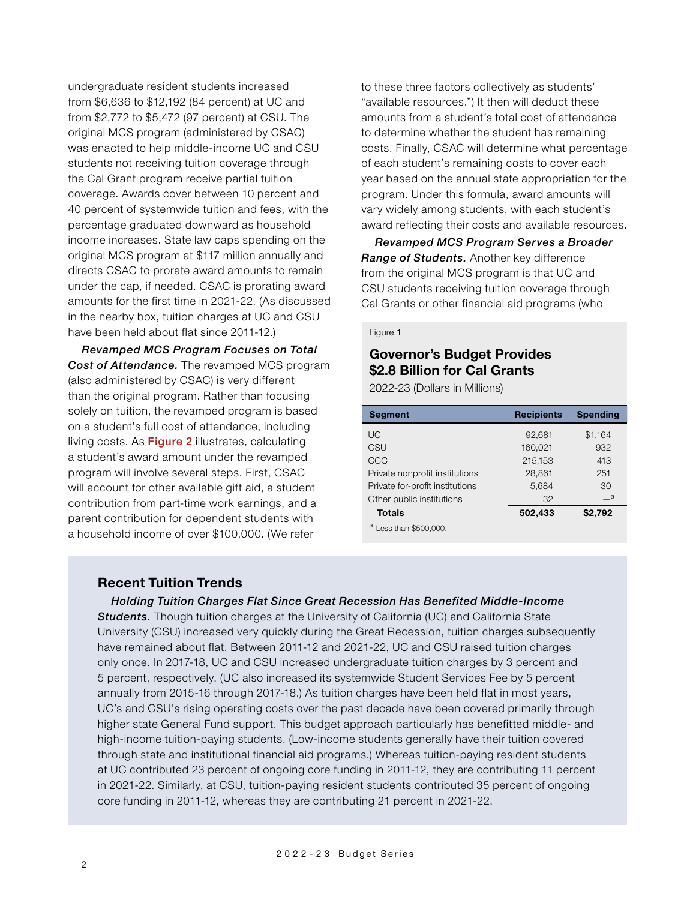undergraduate resident students increased from \$6,636 to \$12,192 (84 percent) at UC and from \$2,772 to \$5,472 (97 percent) at CSU. The original MCS program (administered by CSAC) was enacted to help middle-income UC and CSU students not receiving tuition coverage through the Cal Grant program receive partial tuition coverage. Awards cover between 10 percent and 40 percent of systemwide tuition and fees, with the percentage graduated downward as household income increases. State law caps spending on the original MCS program at \$117 million annually and directs CSAC to prorate award amounts to remain under the cap, if needed. CSAC is prorating award amounts for the first time in 2021-22. (As discussed in the nearby box, tuition charges at UC and CSU have been held about flat since 2011-12.)

*Revamped MCS Program Focuses on Total Cost of Attendance.* The revamped MCS program (also administered by CSAC) is very different than the original program. Rather than focusing solely on tuition, the revamped program is based on a student's full cost of attendance, including living costs. As **Figure 2** illustrates, calculating a student's award amount under the revamped program will involve several steps. First, CSAC will account for other available gift aid, a student contribution from part-time work earnings, and a parent contribution for dependent students with a household income of over \$100,000. (We refer

to these three factors collectively as students' "available resources.") It then will deduct these amounts from a student's total cost of attendance to determine whether the student has remaining costs. Finally, CSAC will determine what percentage of each student's remaining costs to cover each year based on the annual state appropriation for the program. Under this formula, award amounts will vary widely among students, with each student's award reflecting their costs and available resources.

*Revamped MCS Program Serves a Broader Range of Students.* Another key difference from the original MCS program is that UC and CSU students receiving tuition coverage through Cal Grants or other financial aid programs (who

#### Figure 1

# **Governor's Budget Provides \$2.8 Billion for Cal Grants**

2022-23 (Dollars in Millions)

| <b>Segment</b>                  | <b>Recipients</b> | <b>Spending</b> |
|---------------------------------|-------------------|-----------------|
| <b>UC</b>                       | 92,681            | \$1,164         |
| CSU                             | 160,021           | 932             |
| CCC                             | 215,153           | 413             |
| Private nonprofit institutions  | 28,861            | 251             |
| Private for-profit institutions | 5,684             | 30              |
| Other public institutions       | 32                | $\mathsf{-a}$   |
| <b>Totals</b>                   | 502,433           | \$2,792         |
| Less than \$500,000.            |                   |                 |

#### **Recent Tuition Trends**

*Holding Tuition Charges Flat Since Great Recession Has Benefited Middle-Income* 

**Students.** Though tuition charges at the University of California (UC) and California State University (CSU) increased very quickly during the Great Recession, tuition charges subsequently have remained about flat. Between 2011-12 and 2021-22, UC and CSU raised tuition charges only once. In 2017-18, UC and CSU increased undergraduate tuition charges by 3 percent and 5 percent, respectively. (UC also increased its systemwide Student Services Fee by 5 percent annually from 2015-16 through 2017-18.) As tuition charges have been held flat in most years, UC's and CSU's rising operating costs over the past decade have been covered primarily through higher state General Fund support. This budget approach particularly has benefitted middle- and high-income tuition-paying students. (Low-income students generally have their tuition covered through state and institutional financial aid programs.) Whereas tuition-paying resident students at UC contributed 23 percent of ongoing core funding in 2011-12, they are contributing 11 percent in 2021-22. Similarly, at CSU, tuition-paying resident students contributed 35 percent of ongoing core funding in 2011-12, whereas they are contributing 21 percent in 2021-22.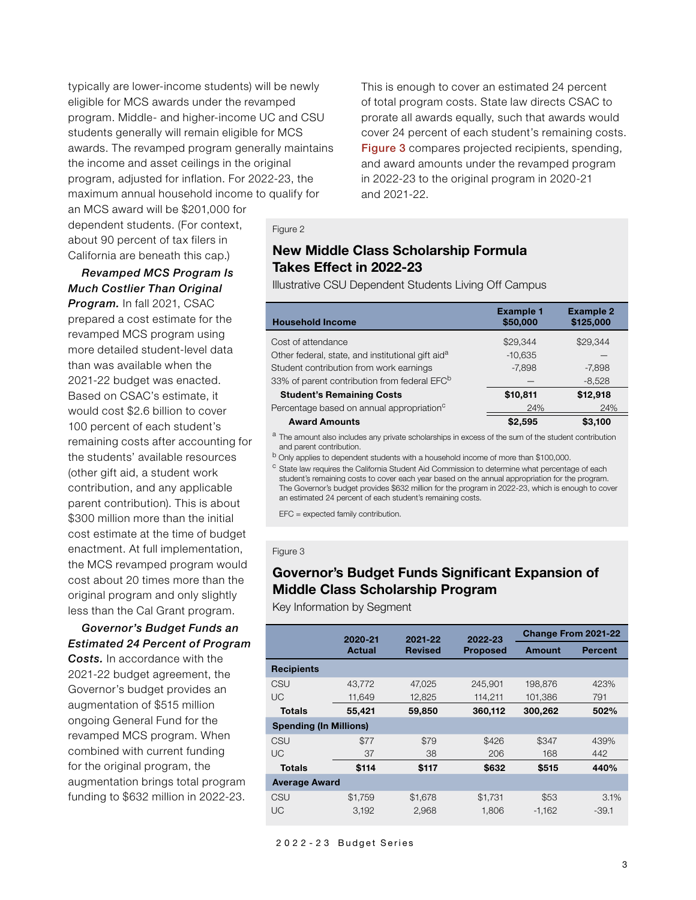typically are lower-income students) will be newly eligible for MCS awards under the revamped program. Middle- and higher-income UC and CSU students generally will remain eligible for MCS awards. The revamped program generally maintains the income and asset ceilings in the original program, adjusted for inflation. For 2022-23, the maximum annual household income to qualify for

an MCS award will be \$201,000 for dependent students. (For context, about 90 percent of tax filers in California are beneath this cap.)

## *Revamped MCS Program Is Much Costlier Than Original*

*Program.* In fall 2021, CSAC prepared a cost estimate for the revamped MCS program using more detailed student-level data than was available when the 2021-22 budget was enacted. Based on CSAC's estimate, it would cost \$2.6 billion to cover 100 percent of each student's remaining costs after accounting for the students' available resources (other gift aid, a student work contribution, and any applicable parent contribution). This is about \$300 million more than the initial cost estimate at the time of budget enactment. At full implementation, the MCS revamped program would cost about 20 times more than the original program and only slightly less than the Cal Grant program.

### *Governor's Budget Funds an Estimated 24 Percent of Program*

*Costs.* In accordance with the 2021-22 budget agreement, the Governor's budget provides an augmentation of \$515 million ongoing General Fund for the revamped MCS program. When combined with current funding for the original program, the augmentation brings total program funding to \$632 million in 2022-23.

This is enough to cover an estimated 24 percent of total program costs. State law directs CSAC to prorate all awards equally, such that awards would cover 24 percent of each student's remaining costs. Figure 3 compares projected recipients, spending, and award amounts under the revamped program in 2022-23 to the original program in 2020-21 and 2021-22.

#### Figure 2

# **New Middle Class Scholarship Formula Takes Effect in 2022-23**

Illustrative CSU Dependent Students Living Off Campus

| <b>Household Income</b>                                       | <b>Example 1</b><br>\$50,000 | <b>Example 2</b><br>\$125,000 |
|---------------------------------------------------------------|------------------------------|-------------------------------|
| Cost of attendance                                            | \$29,344                     | \$29,344                      |
| Other federal, state, and institutional gift aid <sup>a</sup> | $-10,635$                    |                               |
| Student contribution from work earnings                       | $-7.898$                     | $-7.898$                      |
| 33% of parent contribution from federal EFC <sup>b</sup>      |                              | $-8,528$                      |
| <b>Student's Remaining Costs</b>                              | \$10,811                     | \$12,918                      |
| Percentage based on annual appropriation <sup>c</sup>         | 24%                          | 24%                           |
| <b>Award Amounts</b>                                          | \$2.595                      | \$3.100                       |

<sup>a</sup> The amount also includes any private scholarships in excess of the sum of the student contribution and parent contribution.

b Only applies to dependent students with a household income of more than \$100,000.

<sup>c</sup> State law requires the California Student Aid Commission to determine what percentage of each student's remaining costs to cover each year based on the annual appropriation for the program. The Governor's budget provides \$632 million for the program in 2022-23, which is enough to cover an estimated 24 percent of each student's remaining costs.

EFC = expected family contribution.

#### Figure 3

# **Governor's Budget Funds Significant Expansion of Middle Class Scholarship Program**

Key Information by Segment

|                               | 2020-21 | 2021-22        |                            | Change From 2021-22 |                |  |  |
|-------------------------------|---------|----------------|----------------------------|---------------------|----------------|--|--|
|                               | Actual  | <b>Revised</b> | 2022-23<br><b>Proposed</b> | Amount              | <b>Percent</b> |  |  |
| <b>Recipients</b>             |         |                |                            |                     |                |  |  |
| CSU                           | 43.772  | 47.025         | 245.901                    | 198.876             | 423%           |  |  |
| <b>UC</b>                     | 11,649  | 12,825         | 114,211                    | 101,386             | 791            |  |  |
| Totals                        | 55,421  | 59,850         | 360,112                    | 300,262             | 502%           |  |  |
| <b>Spending (In Millions)</b> |         |                |                            |                     |                |  |  |
| CSU                           | \$77    | \$79           | \$426                      | \$347               | 439%           |  |  |
| UC                            | 37      | 38             | 206                        | 168                 | 442            |  |  |
| Totals                        | \$114   | \$117          | \$632                      | \$515               | 440%           |  |  |
| <b>Average Award</b>          |         |                |                            |                     |                |  |  |
| CSU                           | \$1.759 | \$1.678        | \$1,731                    | \$53                | 3.1%           |  |  |
| UC                            | 3,192   | 2,968          | 1.806                      | $-1.162$            | $-39.1$        |  |  |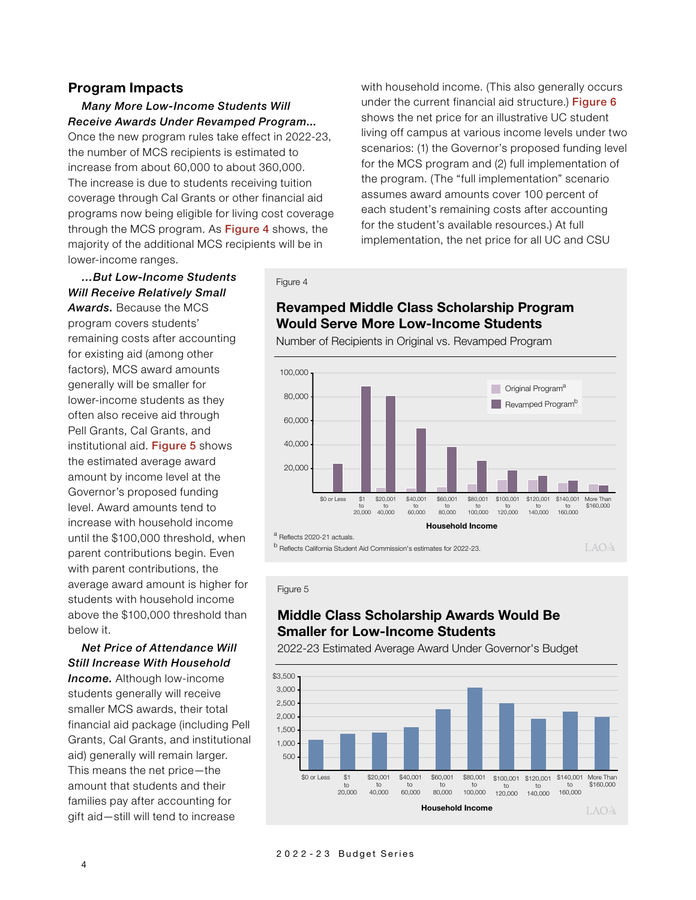#### **Program Impacts**

#### *Many More Low-Income Students Will Receive Awards Under Revamped Program...*

Once the new program rules take effect in 2022-23, the number of MCS recipients is estimated to increase from about 60,000 to about 360,000. The increase is due to students receiving tuition coverage through Cal Grants or other financial aid programs now being eligible for living cost coverage through the MCS program. As **Figure 4** shows, the majority of the additional MCS recipients will be in lower-income ranges.

with household income. (This also generally occurs under the current financial aid structure.) Figure 6 shows the net price for an illustrative UC student living off campus at various income levels under two scenarios: (1) the Governor's proposed funding level for the MCS program and (2) full implementation of the program. (The "full implementation" scenario assumes award amounts cover 100 percent of each student's remaining costs after accounting for the student's available resources.) At full implementation, the net price for all UC and CSU

# *…But Low-Income Students Will Receive Relatively Small Awards.* Because the MCS program covers students'

remaining costs after accounting for existing aid (among other factors), MCS award amounts generally will be smaller for lower-income students as they often also receive aid through Pell Grants, Cal Grants, and institutional aid. Figure 5 shows the estimated average award amount by income level at the Governor's proposed funding level. Award amounts tend to increase with household income until the \$100,000 threshold, when parent contributions begin. Even with parent contributions, the average award amount is higher for students with household income above the \$100,000 threshold than below it.

#### *Net Price of Attendance Will Still Increase With Household*

*Income.* Although low-income students generally will receive smaller MCS awards, their total financial aid package (including Pell Grants, Cal Grants, and institutional aid) generally will remain larger. This means the net price—the amount that students and their families pay after accounting for gift aid—still will tend to increase

Figure 4

# **Revamped Middle Class Scholarship Program Would Serve More Low-Income Students**

Number of Recipients in Original vs. Revamped Program



Figure 5

# **Middle Class Scholarship Awards Would Be Smaller for Low-Income Students**



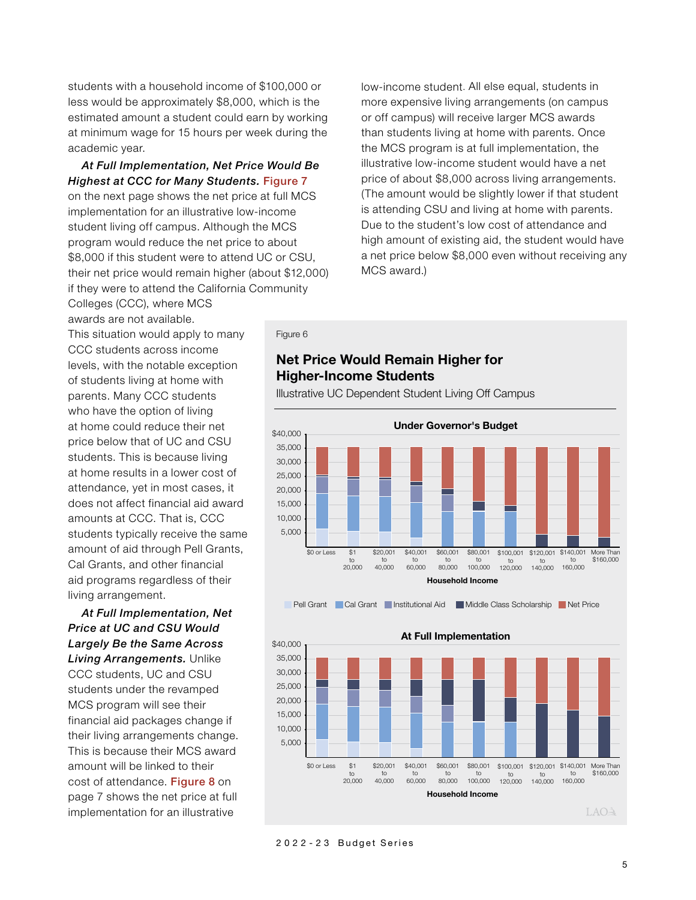students with a household income of \$100,000 or less would be approximately \$8,000, which is the estimated amount a student could earn by working at minimum wage for 15 hours per week during the academic year.

#### *At Full Implementation, Net Price Would Be Highest at CCC for Many Students.* Figure 7

on the next page shows the net price at full MCS implementation for an illustrative low-income student living off campus. Although the MCS program would reduce the net price to about \$8,000 if this student were to attend UC or CSU, their net price would remain higher (about \$12,000) if they were to attend the California Community Colleges (CCC), where MCS

low-income student. All else equal, students in more expensive living arrangements (on campus or off campus) will receive larger MCS awards than students living at home with parents. Once the MCS program is at full implementation, the illustrative low-income student would have a net price of about \$8,000 across living arrangements. (The amount would be slightly lower if that student is attending CSU and living at home with parents. Due to the student's low cost of attendance and high amount of existing aid, the student would have a net price below \$8,000 even without receiving any MCS award.)

awards are not available. This situation would apply to many CCC students across income levels, with the notable exception of students living at home with parents. Many CCC students who have the option of living at home could reduce their net price below that of UC and CSU students. This is because living at home results in a lower cost of attendance, yet in most cases, it does not affect financial aid award amounts at CCC. That is, CCC students typically receive the same amount of aid through Pell Grants, Cal Grants, and other financial aid programs regardless of their living arrangement.

*At Full Implementation, Net Price at UC and CSU Would Largely Be the Same Across Living Arrangements.* Unlike CCC students, UC and CSU students under the revamped MCS program will see their financial aid packages change if their living arrangements change. This is because their MCS award amount will be linked to their cost of attendance. Figure 8 on page 7 shows the net price at full implementation for an illustrative

#### Figure 6

# **Net Price Would Remain Higher for Higher-Income Students**









#### 2022-23 Budget Series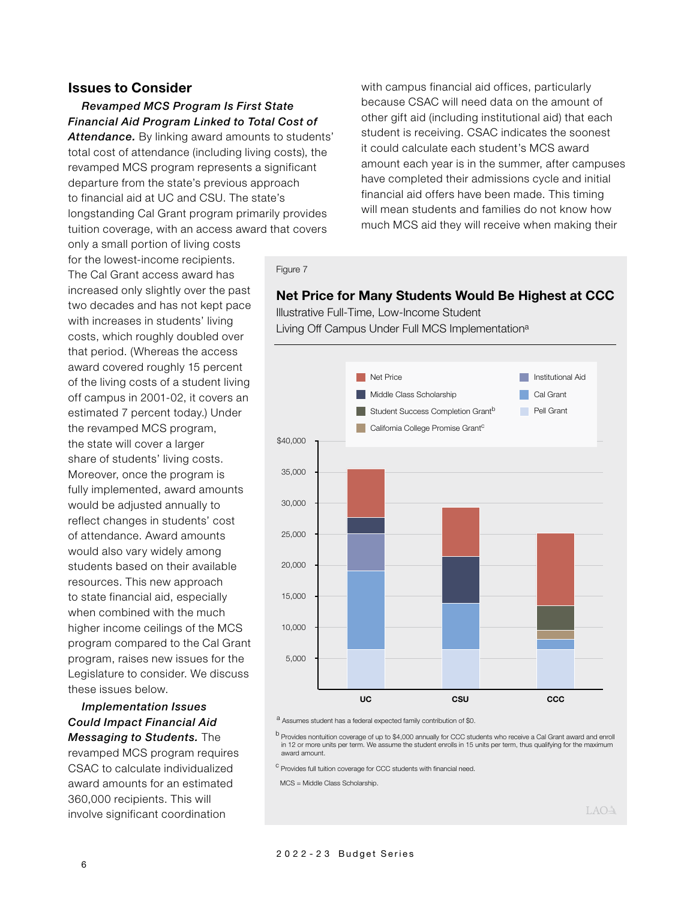#### **Issues to Consider**

*Revamped MCS Program Is First State Financial Aid Program Linked to Total Cost of*  Attendance. By linking award amounts to students'

total cost of attendance (including living costs), the revamped MCS program represents a significant departure from the state's previous approach to financial aid at UC and CSU. The state's longstanding Cal Grant program primarily provides tuition coverage, with an access award that covers

with campus financial aid offices, particularly because CSAC will need data on the amount of other gift aid (including institutional aid) that each student is receiving. CSAC indicates the soonest it could calculate each student's MCS award amount each year is in the summer, after campuses have completed their admissions cycle and initial financial aid offers have been made. This timing will mean students and families do not know how much MCS aid they will receive when making their

only a small portion of living costs for the lowest-income recipients. The Cal Grant access award has increased only slightly over the past two decades and has not kept pace with increases in students' living costs, which roughly doubled over that period. (Whereas the access award covered roughly 15 percent of the living costs of a student living off campus in 2001-02, it covers an estimated 7 percent today.) Under the revamped MCS program, the state will cover a larger share of students' living costs. Moreover, once the program is fully implemented, award amounts would be adjusted annually to reflect changes in students' cost of attendance. Award amounts would also vary widely among students based on their available resources. This new approach to state financial aid, especially when combined with the much higher income ceilings of the MCS program compared to the Cal Grant program, raises new issues for the Legislature to consider. We discuss these issues below.

#### *Implementation Issues Could Impact Financial Aid Messaging to Students.* The

revamped MCS program requires CSAC to calculate individualized award amounts for an estimated 360,000 recipients. This will involve significant coordination

#### Figure 7

#### **Net Price for Many Students Would Be Highest at CCC**

Illustrative Full-Time, Low-Income Student Living Off Campus Under Full MCS Implementation<sup>a</sup>



a<br>Assumes student has a federal expected family contribution of \$0.

b Provides nontuition coverage of up to \$4,000 annually for CCC students who receive a Cal Grant award and enroll in 12 or more units per term. We assume the student enrolls in 15 units per term, thus qualifying for the maximum award amount.

<sup>C</sup> Provides full tuition coverage for CCC students with financial need.

MCS = Middle Class Scholarship.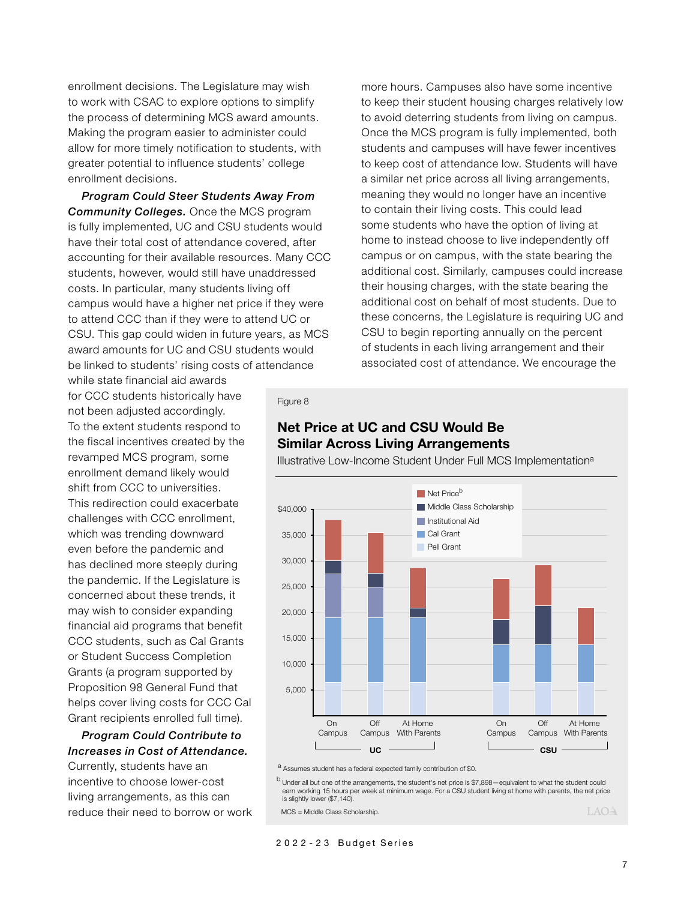enrollment decisions. The Legislature may wish to work with CSAC to explore options to simplify the process of determining MCS award amounts. Making the program easier to administer could allow for more timely notification to students, with greater potential to influence students' college enrollment decisions.

*Program Could Steer Students Away From Community Colleges.* Once the MCS program is fully implemented, UC and CSU students would have their total cost of attendance covered, after accounting for their available resources. Many CCC students, however, would still have unaddressed costs. In particular, many students living off campus would have a higher net price if they were to attend CCC than if they were to attend UC or CSU. This gap could widen in future years, as MCS award amounts for UC and CSU students would be linked to students' rising costs of attendance

while state financial aid awards for CCC students historically have not been adjusted accordingly. To the extent students respond to the fiscal incentives created by the revamped MCS program, some enrollment demand likely would shift from CCC to universities. This redirection could exacerbate challenges with CCC enrollment, which was trending downward even before the pandemic and has declined more steeply during the pandemic. If the Legislature is concerned about these trends, it may wish to consider expanding financial aid programs that benefit CCC students, such as Cal Grants or Student Success Completion Grants (a program supported by Proposition 98 General Fund that helps cover living costs for CCC Cal Grant recipients enrolled full time).

#### *Program Could Contribute to Increases in Cost of Attendance.*

Currently, students have an incentive to choose lower-cost living arrangements, as this can reduce their need to borrow or work

more hours. Campuses also have some incentive to keep their student housing charges relatively low to avoid deterring students from living on campus. Once the MCS program is fully implemented, both students and campuses will have fewer incentives to keep cost of attendance low. Students will have a similar net price across all living arrangements, meaning they would no longer have an incentive to contain their living costs. This could lead some students who have the option of living at home to instead choose to live independently off campus or on campus, with the state bearing the additional cost. Similarly, campuses could increase their housing charges, with the state bearing the additional cost on behalf of most students. Due to these concerns, the Legislature is requiring UC and CSU to begin reporting annually on the percent of students in each living arrangement and their associated cost of attendance. We encourage the

#### Figure 8

# **Net Price at UC and CSU Would Be Similar Across Living Arrangements**

Illustrative Low-Income Student Under Full MCS Implementation<sup>a</sup>



a<br>Assumes student has a federal expected family contribution of \$0.

b Under all but one of the arrangements, the student's net price is \$7,898—equivalent to what the student could earn working 15 hours per week at minimum wage. For a CSU student living at home with parents, the net price is slightly lower (\$7,140).

MCS = Middle Class Scholarship.